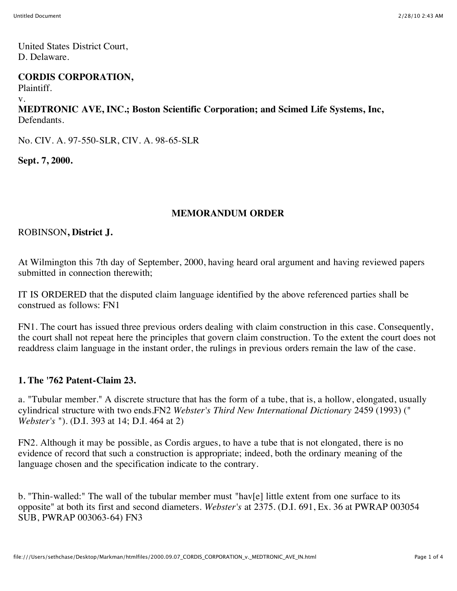United States District Court, D. Delaware.

#### **CORDIS CORPORATION,**

Plaintiff.

v.

**MEDTRONIC AVE, INC.; Boston Scientific Corporation; and Scimed Life Systems, Inc,** Defendants.

No. CIV. A. 97-550-SLR, CIV. A. 98-65-SLR

**Sept. 7, 2000.**

# **MEMORANDUM ORDER**

ROBINSON**, District J.**

At Wilmington this 7th day of September, 2000, having heard oral argument and having reviewed papers submitted in connection therewith;

IT IS ORDERED that the disputed claim language identified by the above referenced parties shall be construed as follows: FN1

FN1. The court has issued three previous orders dealing with claim construction in this case. Consequently, the court shall not repeat here the principles that govern claim construction. To the extent the court does not readdress claim language in the instant order, the rulings in previous orders remain the law of the case.

## **1. The '762 Patent-Claim 23.**

a. "Tubular member." A discrete structure that has the form of a tube, that is, a hollow, elongated, usually cylindrical structure with two ends.FN2 *Webster's Third New International Dictionary* 2459 (1993) (" *Webster's* "). (D.I. 393 at 14; D.I. 464 at 2)

FN2. Although it may be possible, as Cordis argues, to have a tube that is not elongated, there is no evidence of record that such a construction is appropriate; indeed, both the ordinary meaning of the language chosen and the specification indicate to the contrary.

b. "Thin-walled:" The wall of the tubular member must "hav[e] little extent from one surface to its opposite" at both its first and second diameters. *Webster's* at 2375. (D.I. 691, Ex. 36 at PWRAP 003054 SUB, PWRAP 003063-64) FN3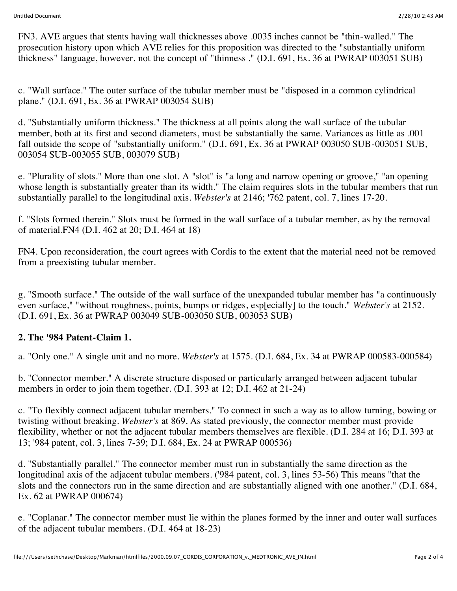FN3. AVE argues that stents having wall thicknesses above .0035 inches cannot be "thin-walled." The prosecution history upon which AVE relies for this proposition was directed to the "substantially uniform thickness" language, however, not the concept of "thinness ." (D.I. 691, Ex. 36 at PWRAP 003051 SUB)

c. "Wall surface." The outer surface of the tubular member must be "disposed in a common cylindrical plane." (D.I. 691, Ex. 36 at PWRAP 003054 SUB)

d. "Substantially uniform thickness." The thickness at all points along the wall surface of the tubular member, both at its first and second diameters, must be substantially the same. Variances as little as .001 fall outside the scope of "substantially uniform." (D.I. 691, Ex. 36 at PWRAP 003050 SUB-003051 SUB, 003054 SUB-003055 SUB, 003079 SUB)

e. "Plurality of slots." More than one slot. A "slot" is "a long and narrow opening or groove," "an opening whose length is substantially greater than its width." The claim requires slots in the tubular members that run substantially parallel to the longitudinal axis. *Webster's* at 2146; '762 patent, col. 7, lines 17-20.

f. "Slots formed therein." Slots must be formed in the wall surface of a tubular member, as by the removal of material.FN4 (D.I. 462 at 20; D.I. 464 at 18)

FN4. Upon reconsideration, the court agrees with Cordis to the extent that the material need not be removed from a preexisting tubular member.

g. "Smooth surface." The outside of the wall surface of the unexpanded tubular member has "a continuously even surface," "without roughness, points, bumps or ridges, esp[ecially] to the touch." *Webster's* at 2152. (D.I. 691, Ex. 36 at PWRAP 003049 SUB-003050 SUB, 003053 SUB)

## **2. The '984 Patent-Claim 1.**

a. "Only one." A single unit and no more. *Webster's* at 1575. (D.I. 684, Ex. 34 at PWRAP 000583-000584)

b. "Connector member." A discrete structure disposed or particularly arranged between adjacent tubular members in order to join them together. (D.I. 393 at 12; D.I. 462 at 21-24)

c. "To flexibly connect adjacent tubular members." To connect in such a way as to allow turning, bowing or twisting without breaking. *Webster's* at 869. As stated previously, the connector member must provide flexibility, whether or not the adjacent tubular members themselves are flexible. (D.I. 284 at 16; D.I. 393 at 13; '984 patent, col. 3, lines 7-39; D.I. 684, Ex. 24 at PWRAP 000536)

d. "Substantially parallel." The connector member must run in substantially the same direction as the longitudinal axis of the adjacent tubular members. ('984 patent, col. 3, lines 53-56) This means "that the slots and the connectors run in the same direction and are substantially aligned with one another." (D.I. 684, Ex. 62 at PWRAP 000674)

e. "Coplanar." The connector member must lie within the planes formed by the inner and outer wall surfaces of the adjacent tubular members. (D.I. 464 at 18-23)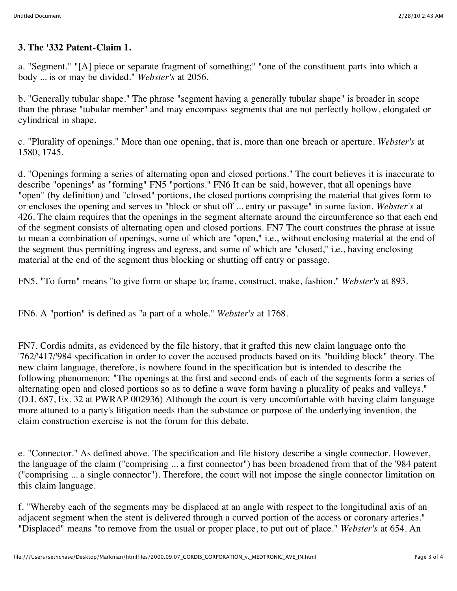## **3. The '332 Patent-Claim 1.**

a. "Segment." "[A] piece or separate fragment of something;" "one of the constituent parts into which a body ... is or may be divided." *Webster's* at 2056.

b. "Generally tubular shape." The phrase "segment having a generally tubular shape" is broader in scope than the phrase "tubular member" and may encompass segments that are not perfectly hollow, elongated or cylindrical in shape.

c. "Plurality of openings." More than one opening, that is, more than one breach or aperture. *Webster's* at 1580, 1745.

d. "Openings forming a series of alternating open and closed portions." The court believes it is inaccurate to describe "openings" as "forming" FN5 "portions." FN6 It can be said, however, that all openings have "open" (by definition) and "closed" portions, the closed portions comprising the material that gives form to or encloses the opening and serves to "block or shut off ... entry or passage" in some fasion. *Webster's* at 426. The claim requires that the openings in the segment alternate around the circumference so that each end of the segment consists of alternating open and closed portions. FN7 The court construes the phrase at issue to mean a combination of openings, some of which are "open," i.e., without enclosing material at the end of the segment thus permitting ingress and egress, and some of which are "closed," i.e., having enclosing material at the end of the segment thus blocking or shutting off entry or passage.

FN5. "To form" means "to give form or shape to; frame, construct, make, fashion." *Webster's* at 893.

FN6. A "portion" is defined as "a part of a whole." *Webster's* at 1768.

FN7. Cordis admits, as evidenced by the file history, that it grafted this new claim language onto the '762/'417/'984 specification in order to cover the accused products based on its "building block" theory. The new claim language, therefore, is nowhere found in the specification but is intended to describe the following phenomenon: "The openings at the first and second ends of each of the segments form a series of alternating open and closed portions so as to define a wave form having a plurality of peaks and valleys." (D.I. 687, Ex. 32 at PWRAP 002936) Although the court is very uncomfortable with having claim language more attuned to a party's litigation needs than the substance or purpose of the underlying invention, the claim construction exercise is not the forum for this debate.

e. "Connector." As defined above. The specification and file history describe a single connector. However, the language of the claim ("comprising ... a first connector") has been broadened from that of the '984 patent ("comprising ... a single connector"). Therefore, the court will not impose the single connector limitation on this claim language.

f. "Whereby each of the segments may be displaced at an angle with respect to the longitudinal axis of an adjacent segment when the stent is delivered through a curved portion of the access or coronary arteries." "Displaced" means "to remove from the usual or proper place, to put out of place." *Webster's* at 654. An